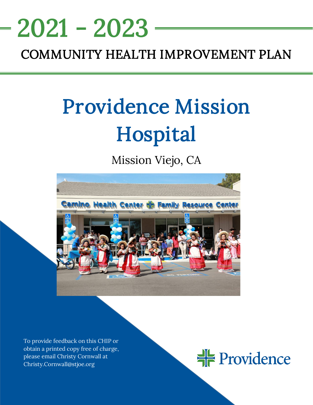# <u>NEEDS ASSESSMENT ASSESSMENT ASSESS</u> 2021 - 2023

# COMMUNITY HEALTH IMPROVEMENT PLAN

# Providence Mission Hospital

Mission Viejo, CA



To provide feedback on this CHIP or obtain a printed copy free of charge, please email Christy Cornwall at Christy.Cornwall@stjoe.org

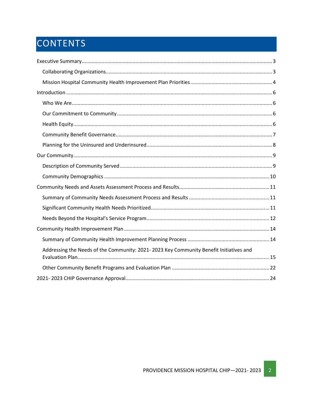# CONTENTS

| Addressing the Needs of the Community: 2021-2023 Key Community Benefit Initiatives and |
|----------------------------------------------------------------------------------------|
|                                                                                        |
|                                                                                        |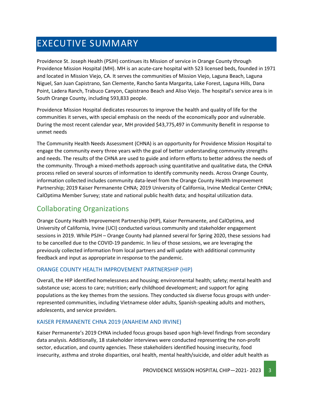# <span id="page-2-0"></span>EXECUTIVE SUMMARY

Providence St. Joseph Health (PSJH) continues its Mission of service in Orange County through Providence Mission Hospital (MH). MH is an acute-care hospital with 523 licensed beds, founded in 1971 and located in Mission Viejo, CA. It serves the communities of Mission Viejo, Laguna Beach, Laguna Niguel, San Juan Capistrano, San Clemente, Rancho Santa Margarita, Lake Forest, Laguna Hills, Dana Point, Ladera Ranch, Trabuco Canyon, Capistrano Beach and Aliso Viejo. The hospital's service area is in South Orange County, including 593,833 people.

Providence Mission Hospital dedicates resources to improve the health and quality of life for the communities it serves, with special emphasis on the needs of the economically poor and vulnerable. During the most recent calendar year, MH provided \$43,775,497 in Community Benefit in response to unmet needs

The Community Health Needs Assessment (CHNA) is an opportunity for Providence Mission Hospital to engage the community every three years with the goal of better understanding community strengths and needs. The results of the CHNA are used to guide and inform efforts to better address the needs of the community. Through a mixed-methods approach using quantitative and qualitative data, the CHNA process relied on several sources of information to identify community needs. Across Orange County, information collected includes community data-level from the Orange County Health Improvement Partnership; 2019 Kaiser Permanente CHNA; 2019 University of California, Irvine Medical Center CHNA; CalOptima Member Survey; state and national public health data; and hospital utilization data.

# <span id="page-2-1"></span>Collaborating Organizations

Orange County Health Improvement Partnership (HIP), Kaiser Permanente, and CalOptima, and University of California, Irvine (UCI) conducted various community and stakeholder engagement sessions in 2019. While PSJH – Orange County had planned several for Spring 2020, these sessions had to be cancelled due to the COVID-19 pandemic. In lieu of those sessions, we are leveraging the previously collected information from local partners and will update with additional community feedback and input as appropriate in response to the pandemic.

#### ORANGE COUNTY HEALTH IMPROVEMENT PARTNERSHIP (HIP)

Overall, the HIP identified homelessness and housing; environmental health; safety; mental health and substance use; access to care; nutrition; early childhood development; and support for aging populations as the key themes from the sessions. They conducted six diverse focus groups with underrepresented communities, including Vietnamese older adults, Spanish-speaking adults and mothers, adolescents, and service providers.

#### KAISER PERMANENTE CHNA 2019 (ANAHEIM AND IRVINE)

Kaiser Permanente's 2019 CHNA included focus groups based upon high-level findings from secondary data analysis. Additionally, 18 stakeholder interviews were conducted representing the non-profit sector, education, and county agencies. These stakeholders identified housing insecurity, food insecurity, asthma and stroke disparities, oral health, mental health/suicide, and older adult health as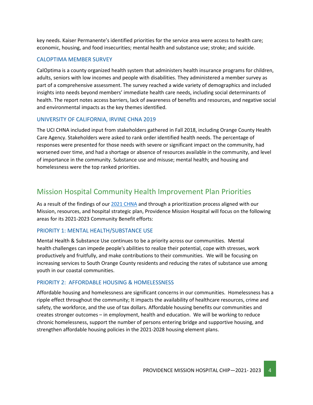key needs. Kaiser Permanente's identified priorities for the service area were access to health care; economic, housing, and food insecurities; mental health and substance use; stroke; and suicide.

#### CALOPTIMA MEMBER SURVEY

CalOptima is a county organized health system that administers health insurance programs for children, adults, seniors with low incomes and people with disabilities. They administered a member survey as part of a comprehensive assessment. The survey reached a wide variety of demographics and included insights into needs beyond members' immediate health care needs, including social determinants of health. The report notes access barriers, lack of awareness of benefits and resources, and negative social and environmental impacts as the key themes identified.

#### UNIVERSITY OF CALIFORNIA, IRVINE CHNA 2019

The UCI CHNA included input from stakeholders gathered in Fall 2018, including Orange County Health Care Agency. Stakeholders were asked to rank order identified health needs. The percentage of responses were presented for those needs with severe or significant impact on the community, had worsened over time, and had a shortage or absence of resources available in the community, and level of importance in the community. Substance use and misuse; mental health; and housing and homelessness were the top ranked priorities.

### <span id="page-3-0"></span>Mission Hospital Community Health Improvement Plan Priorities

As a result of the findings of our 2021 [CHNA](https://www.providence.org/about/annual-report/chna-and-chip-reports) and through a prioritization process aligned with our Mission, resources, and hospital strategic plan, Providence Mission Hospital will focus on the following areas for its 2021-2023 Community Benefit efforts:

#### PRIORITY 1: MENTAL HEALTH/SUBSTANCE USE

Mental Health & Substance Use continues to be a priority across our communities. Mental health challenges can impede people's abilities to realize their potential, cope with stresses, work productively and fruitfully, and make contributions to their communities. We will be focusing on increasing services to South Orange County residents and reducing the rates of substance use among youth in our coastal communities.

#### PRIORITY 2: AFFORDABLE HOUSING & HOMELESSNESS

Affordable housing and homelessness are significant concerns in our communities. Homelessness has a ripple effect throughout the community; It impacts the availability of healthcare resources, crime and safety, the workforce, and the use of tax dollars. Affordable housing benefits our communities and creates stronger outcomes – in employment, health and education. We will be working to reduce chronic homelessness, support the number of persons entering bridge and supportive housing, and strengthen affordable housing policies in the 2021-2028 housing element plans.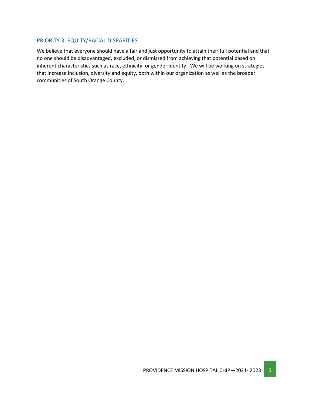#### PRIORITY 3: EQUITY/RACIAL DISPARITIES

We believe that everyone should have a fair and just opportunity to attain their full potential and that no one should be disadvantaged, excluded, or dismissed from achieving that potential based on inherent characteristics such as race, ethnicity, or gender identity. We will be working on strategies that increase inclusion, diversity and equity, both within our organization as well as the broader communities of South Orange County.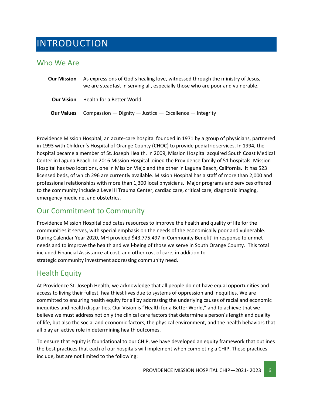# <span id="page-5-0"></span>INTRODUCTION

### <span id="page-5-1"></span>Who We Are

| <b>Our Mission</b> | As expressions of God's healing love, witnessed through the ministry of Jesus,<br>we are steadfast in serving all, especially those who are poor and vulnerable. |
|--------------------|------------------------------------------------------------------------------------------------------------------------------------------------------------------|
| <b>Our Vision</b>  | Health for a Better World.                                                                                                                                       |
| <b>Our Values</b>  | Compassion — Dignity — Justice — Excellence — Integrity                                                                                                          |

Providence Mission Hospital, an acute-care hospital founded in 1971 by a group of physicians, partnered in 1993 with Children's Hospital of Orange County (CHOC) to provide pediatric services. In 1994, the hospital became a member of St. Joseph Health. In 2009, Mission Hospital acquired South Coast Medical Center in Laguna Beach. In 2016 Mission Hospital joined the Providence family of 51 hospitals. Mission Hospital has two locations, one in Mission Viejo and the other in Laguna Beach, California. It has 523 licensed beds, of which 296 are currently available. Mission Hospital has a staff of more than 2,000 and professional relationships with more than 1,300 local physicians. Major programs and services offered to the community include a Level II Trauma Center, cardiac care, critical care, diagnostic imaging, emergency medicine, and obstetrics.

### <span id="page-5-2"></span>Our Commitment to Community

Providence Mission Hospital dedicates resources to improve the health and quality of life for the communities it serves, with special emphasis on the needs of the economically poor and vulnerable. During Calendar Year 2020, MH provided \$43,775,497 in Community Benefit<sup>1</sup> in response to unmet needs and to improve the health and well-being of those we serve in South Orange County. This total included Financial Assistance at cost, and other cost of care, in addition to strategic community investment addressing community need.

### <span id="page-5-3"></span>Health Equity

At Providence St. Joseph Health, we acknowledge that all people do not have equal opportunities and access to living their fullest, healthiest lives due to systems of oppression and inequities. We are committed to ensuring health equity for all by addressing the underlying causes of racial and economic inequities and health disparities. Our Vision is "Health for a Better World," and to achieve that we believe we must address not only the clinical care factors that determine a person's length and quality of life, but also the social and economic factors, the physical environment, and the health behaviors that all play an active role in determining health outcomes.

To ensure that equity is foundational to our CHIP, we have developed an equity framework that outlines the best practices that each of our hospitals will implement when completing a CHIP. These practices include, but are not limited to the following: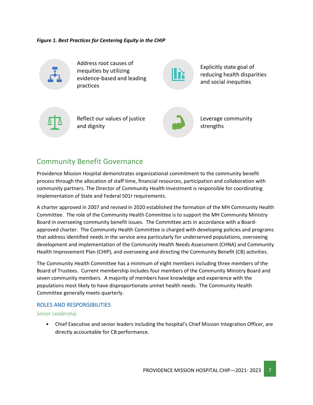*Figure 1. Best Practices for Centering Equity in the CHIP*



Address root causes of inequities by utilizing evidence-based and leading practices

Explicitly state goal of reducing health disparities and social inequities



Reflect our values of justice and dignity



Leverage community strengths

### <span id="page-6-0"></span>Community Benefit Governance

Providence Mission Hospital demonstrates organizational commitment to the community benefit process through the allocation of staff time, financial resources, participation and collaboration with community partners. The Director of Community Health Investment is responsible for coordinating implementation of State and Federal 501r requirements.

A charter approved in 2007 and revised in 2020 established the formation of the MH Community Health Committee. The role of the Community Health Committee is to support the MH Community Ministry Board in overseeing community benefit issues. The Committee acts in accordance with a Boardapproved charter. The Community Health Committee is charged with developing policies and programs that address identified needs in the service area particularly for underserved populations, overseeing development and implementation of the Community Health Needs Assessment (CHNA) and Community Health Improvement Plan (CHIP), and overseeing and directing the Community Benefit (CB) activities.

The Community Health Committee has a minimum of eight members including three members of the Board of Trustees. Current membership includes four members of the Community Ministry Board and seven community members. A majority of members have knowledge and experience with the populations most likely to have disproportionate unmet health needs. The Community Health Committee generally meets quarterly.

#### ROLES AND RESPONSIBILITIES

#### *Senior Leadership*

• Chief Executive and senior leaders including the hospital's Chief Mission Integration Officer, are directly accountable for CB performance.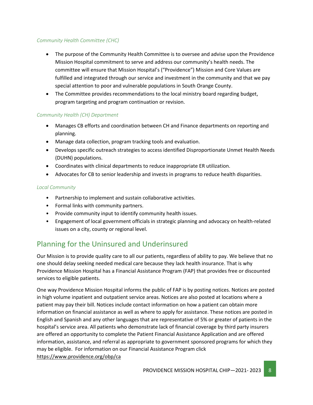#### *Community Health Committee (CHC)*

- The purpose of the Community Health Committee is to oversee and advise upon the Providence Mission Hospital commitment to serve and address our community's health needs. The committee will ensure that Mission Hospital's ("Providence") Mission and Core Values are fulfilled and integrated through our service and investment in the community and that we pay special attention to poor and vulnerable populations in South Orange County.
- The Committee provides recommendations to the local ministry board regarding budget, program targeting and program continuation or revision.

#### *Community Health (CH) Department*

- Manages CB efforts and coordination between CH and Finance departments on reporting and planning.
- Manage data collection, program tracking tools and evaluation.
- Develops specific outreach strategies to access identified Disproportionate Unmet Health Needs (DUHN) populations.
- Coordinates with clinical departments to reduce inappropriate ER utilization.
- Advocates for CB to senior leadership and invests in programs to reduce health disparities.

#### *Local Community*

- Partnership to implement and sustain collaborative activities.
- Formal links with community partners.
- Provide community input to identify community health issues.
- Engagement of local government officials in strategic planning and advocacy on health-related issues on a city, county or regional level.

# <span id="page-7-0"></span>Planning for the Uninsured and Underinsured

Our Mission is to provide quality care to all our patients, regardless of ability to pay. We believe that no one should delay seeking needed medical care because they lack health insurance. That is why Providence Mission Hospital has a Financial Assistance Program (FAP) that provides free or discounted services to eligible patients.

One way Providence Mission Hospital informs the public of FAP is by posting notices. Notices are posted in high volume inpatient and outpatient service areas. Notices are also posted at locations where a patient may pay their bill. Notices include contact information on how a patient can obtain more information on financial assistance as well as where to apply for assistance. These notices are posted in English and Spanish and any other languages that are representative of 5% or greater of patients in the hospital's service area. All patients who demonstrate lack of financial coverage by third party insurers are offered an opportunity to complete the Patient Financial Assistance Application and are offered information, assistance, and referral as appropriate to government sponsored programs for which they may be eligible. For information on our Financial Assistance Program click <https://www.providence.org/obp/ca>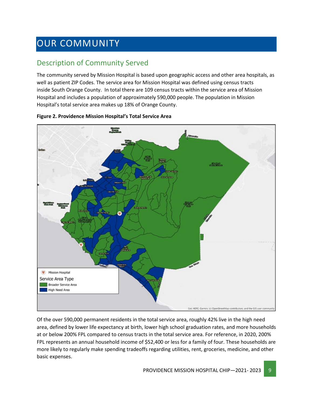# <span id="page-8-0"></span>OUR COMMUNITY

# <span id="page-8-1"></span>Description of Community Served

The community served by Mission Hospital is based upon geographic access and other area hospitals, as well as patient ZIP Codes. The service area for Mission Hospital was defined using census tracts inside South Orange County.  In total there are 109 census tracts within the service area of Mission Hospital and includes a population of approximately 590,000 people. The population in Mission Hospital's total service area makes up 18% of Orange County.



#### **Figure 2. Providence Mission Hospital's Total Service Area**

Of the over 590,000 permanent residents in the total service area, roughly 42% live in the high need area, defined by lower life expectancy at birth, lower high school graduation rates, and more households at or below 200% FPL compared to census tracts in the total service area. For reference, in 2020, 200% FPL represents an annual household income of \$52,400 or less for a family of four. These households are more likely to regularly make spending tradeoffs regarding utilities, rent, groceries, medicine, and other basic expenses.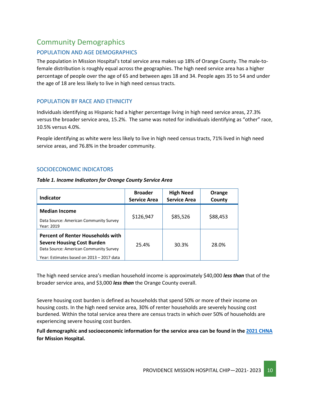### <span id="page-9-0"></span>Community Demographics

#### POPULATION AND AGE DEMOGRAPHICS

The population in Mission Hospital's total service area makes up 18% of Orange County. The male-tofemale distribution is roughly equal across the geographies. The high need service area has a higher percentage of people over the age of 65 and between ages 18 and 34. People ages 35 to 54 and under the age of 18 are less likely to live in high need census tracts.

#### POPULATION BY RACE AND ETHNICITY

Individuals identifying as Hispanic had a higher percentage living in high need service areas, 27.3% versus the broader service area, 15.2%. The same was noted for individuals identifying as "other" race, 10.5% versus 4.0%.

People identifying as white were less likely to live in high need census tracts, 71% lived in high need service areas, and 76.8% in the broader community.

#### SOCIOECONOMIC INDICATORS

#### *Table 1. Income Indicators for Orange County Service Area*

| <b>Indicator</b>                                                                                                                                                     | <b>Broader</b><br><b>Service Area</b> | <b>High Need</b><br><b>Service Area</b> | Orange<br>County |
|----------------------------------------------------------------------------------------------------------------------------------------------------------------------|---------------------------------------|-----------------------------------------|------------------|
| <b>Median Income</b><br>Data Source: American Community Survey<br>Year: 2019                                                                                         | \$126,947                             | \$85,526                                | \$88,453         |
| <b>Percent of Renter Households with</b><br><b>Severe Housing Cost Burden</b><br>Data Source: American Community Survey<br>Year: Estimates based on 2013 - 2017 data | 25.4%                                 | 30.3%                                   | 28.0%            |

The high need service area's median household income is approximately \$40,000 *less than* that of the broader service area, and \$3,000 *less than* the Orange County overall.

Severe housing cost burden is defined as households that spend 50% or more of their income on housing costs. In the high need service area, 30% of renter households are severely housing cost burdened. Within the total service area there are census tracts in which over 50% of households are experiencing severe housing cost burden.

**Full demographic and socioeconomic information for the service area can be found in the 2021 [CHNA](https://www.providence.org/about/annual-report/chna-and-chip-reports) for Mission Hospital.**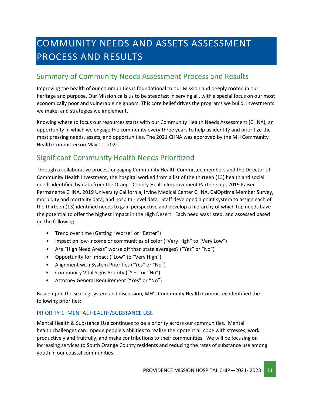# <span id="page-10-0"></span>COMMUNITY NEEDS AND ASSETS ASSESSMENT PROCESS AND RESULTS

### <span id="page-10-1"></span>Summary of Community Needs Assessment Process and Results

Improving the health of our communities is foundational to our Mission and deeply rooted in our heritage and purpose. Our Mission calls us to be steadfast in serving all, with a special focus on our most economically poor and vulnerable neighbors. This core belief drives the programs we build, investments we make, and strategies we implement.

Knowing where to focus our resources starts with our Community Health Needs Assessment (CHNA), an opportunity in which we engage the community every three years to help us identify and prioritize the most pressing needs, assets, and opportunities. The 2021 CHNA was approved by the MH Community Health Committee on May 11, 2021.

# <span id="page-10-2"></span>Significant Community Health Needs Prioritized

Through a collaborative process engaging Community Health Committee members and the Director of Community Health Investment, the hospital worked from a list of the thirteen (13) health and social needs identified by data from the Orange County Health Improvement Partnership, 2019 Kaiser Permanente CHNA, 2019 University California, Irvine Medical Center CHNA, CalOptima Member Survey, morbidity and mortality data; and hospital-level data. Staff developed a point system to assign each of the thirteen (13) identified needs to gain perspective and develop a hierarchy of which top needs have the potential to offer the highest impact in the High Desert. Each need was listed, and assessed based on the following:

- Trend over time (Getting "Worse" or "Better")
- Impact on low-income or communities of color ("Very High" to "Very Low")
- Are "High Need Areas" worse off than state averages? ("Yes" or "No")
- Opportunity for Impact ("Low" to "Very High")
- Alignment with System Priorities ("Yes" or "No")
- Community Vital Signs Priority ("Yes" or "No")
- Attorney General Requirement ("Yes" or "No")

Based upon the scoring system and discussion, MH's Community Health Committee identified the following priorities:

#### PRIORITY 1: MENTAL HEALTH/SUBSTANCE USE

Mental Health & Substance Use continues to be a priority across our communities. Mental health challenges can impede people's abilities to realize their potential, cope with stresses, work productively and fruitfully, and make contributions to their communities. We will be focusing on increasing services to South Orange County residents and reducing the rates of substance use among youth in our coastal communities.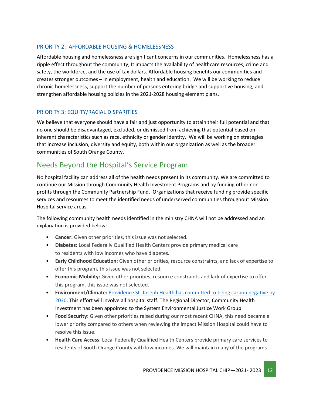#### PRIORITY 2: AFFORDABLE HOUSING & HOMELESSNESS

Affordable housing and homelessness are significant concerns in our communities. Homelessness has a ripple effect throughout the community; It impacts the availability of healthcare resources, crime and safety, the workforce, and the use of tax dollars. Affordable housing benefits our communities and creates stronger outcomes – in employment, health and education. We will be working to reduce chronic homelessness, support the number of persons entering bridge and supportive housing, and strengthen affordable housing policies in the 2021-2028 housing element plans.

#### PRIORITY 3: EQUITY/RACIAL DISPARITIES

We believe that everyone should have a fair and just opportunity to attain their full potential and that no one should be disadvantaged, excluded, or dismissed from achieving that potential based on inherent characteristics such as race, ethnicity or gender identity. We will be working on strategies that increase inclusion, diversity and equity, both within our organization as well as the broader communities of South Orange County.

### <span id="page-11-0"></span>Needs Beyond the Hospital's Service Program

No hospital facility can address all of the health needs present in its community. We are committed to continue our Mission through Community Health Investment Programs and by funding other nonprofits through the Community Partnership Fund. Organizations that receive funding provide specific services and resources to meet the identified needs of underserved communities throughout Mission Hospital service areas.

The following community health needs identified in the ministry CHNA will not be addressed and an explanation is provided below:

- **Cancer:** Given other priorities, this issue was not selected.
- **Diabetes:** Local Federally Qualified Health Centers provide primary medical care to residents with low incomes who have diabetes.
- **Early Childhood Education:** Given other priorities, resource constraints, and lack of expertise to offer this program, this issue was not selected.
- **Economic Mobility:** Given other priorities, resource constraints and lack of expertise to offer this program, this issue was not selected.
- **Environment/Climate:** [Providence St. Joseph Health has committed to being](https://www.providence.org/about/community-partnerships/work-we-do/government-affairs-and-social-responsibility/environmental-stewardship/our-commitment-to-environmental-transformation) carbon negative by [2030.](https://www.providence.org/about/community-partnerships/work-we-do/government-affairs-and-social-responsibility/environmental-stewardship/our-commitment-to-environmental-transformation) This effort will involve all hospital staff. The Regional Director, Community Health Investment has been appointed to the System Environmental Justice Work Group
- **Food Security:** Given other priorities raised during our most recent CHNA, this need became a lower priority compared to others when reviewing the impact Mission Hospital could have to resolve this issue.
- **Health Care Access**: Local Federally Qualified Health Centers provide primary care services to residents of South Orange County with low incomes. We will maintain many of the programs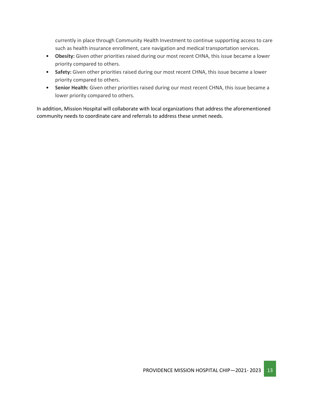currently in place through Community Health Investment to continue supporting access to care such as health insurance enrollment, care navigation and medical transportation services.

- **Obesity:** Given other priorities raised during our most recent CHNA, this issue became a lower priority compared to others.
- **Safety:** Given other priorities raised during our most recent CHNA, this issue became a lower priority compared to others.
- **Senior Health:** Given other priorities raised during our most recent CHNA, this issue became a lower priority compared to others.

In addition, Mission Hospital will collaborate with local organizations that address the aforementioned community needs to coordinate care and referrals to address these unmet needs.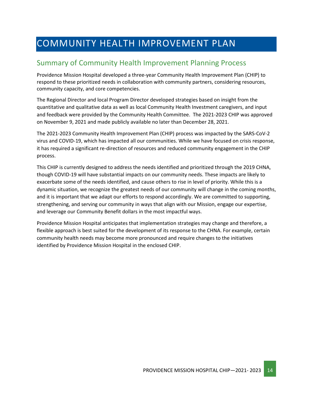# <span id="page-13-0"></span>COMMUNITY HEALTH IMPROVEMENT PLAN

### <span id="page-13-1"></span>Summary of Community Health Improvement Planning Process

Providence Mission Hospital developed a three-year Community Health Improvement Plan (CHIP) to respond to these prioritized needs in collaboration with community partners, considering resources, community capacity, and core competencies.

The Regional Director and local Program Director developed strategies based on insight from the quantitative and qualitative data as well as local Community Health Investment caregivers, and input and feedback were provided by the Community Health Committee. The 2021-2023 CHIP was approved on November 9, 2021 and made publicly available no later than December 28, 2021.

The 2021-2023 Community Health Improvement Plan (CHIP) process was impacted by the SARS-CoV-2 virus and COVID-19, which has impacted all our communities. While we have focused on crisis response, it has required a significant re-direction of resources and reduced community engagement in the CHIP process.

This CHIP is currently designed to address the needs identified and prioritized through the 2019 CHNA, though COVID-19 will have substantial impacts on our community needs. These impacts are likely to exacerbate some of the needs identified, and cause others to rise in level of priority. While this is a dynamic situation, we recognize the greatest needs of our community will change in the coming months, and it is important that we adapt our efforts to respond accordingly. We are committed to supporting, strengthening, and serving our community in ways that align with our Mission, engage our expertise, and leverage our Community Benefit dollars in the most impactful ways.

Providence Mission Hospital anticipates that implementation strategies may change and therefore, a flexible approach is best suited for the development of its response to the CHNA. For example, certain community health needs may become more pronounced and require changes to the initiatives identified by Providence Mission Hospital in the enclosed CHIP.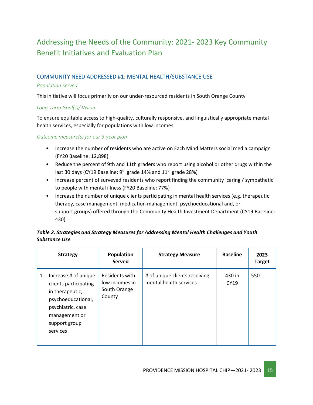# <span id="page-14-0"></span>Addressing the Needs of the Community: 2021- 2023 Key Community Benefit Initiatives and Evaluation Plan

#### COMMUNITY NEED ADDRESSED #1: MENTAL HEALTH/SUBSTANCE USE

#### *Population Served*

This initiative will focus primarily on our under-resourced residents in South Orange County

#### *Long-Term Goal(s)/ Vision*

To ensure equitable access to high-quality, culturally responsive, and linguistically appropriate mental health services, especially for populations with low incomes.

*Outcome measure(s) for our 3-year plan*

- Increase the number of residents who are active on Each Mind Matters social media campaign (FY20 Baseline: 12,898)
- Reduce the percent of 9th and 11th graders who report using alcohol or other drugs within the last 30 days (CY19 Baseline:  $9<sup>th</sup>$  grade 14% and 11<sup>th</sup> grade 28%)
- Increase percent of surveyed residents who report finding the community 'caring / sympathetic' to people with mental illness (FY20 Baseline: 77%)
- Increase the number of unique clients participating in mental health services (e.g. therapeutic therapy, case management, medication management, psychoeducational and, or support groups) offered through the Community Health Investment Department (CY19 Baseline: 430)

#### *Table 2. Strategies and Strategy Measures for Addressing Mental Health Challenges and Youth Substance Use*

|    | <b>Strategy</b>                                                                                                                                           | Population<br><b>Served</b>                                | <b>Strategy Measure</b>                                 | <b>Baseline</b>       | 2023<br><b>Target</b> |
|----|-----------------------------------------------------------------------------------------------------------------------------------------------------------|------------------------------------------------------------|---------------------------------------------------------|-----------------------|-----------------------|
| 1. | Increase # of unique<br>clients participating<br>in therapeutic,<br>psychoeducational,<br>psychiatric, case<br>management or<br>support group<br>services | Residents with<br>low incomes in<br>South Orange<br>County | # of unique clients receiving<br>mental health services | 430 in<br><b>CY19</b> | 550                   |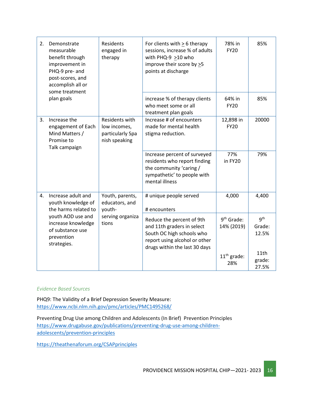| 2. | Demonstrate<br>measurable<br>benefit through<br>improvement in<br>PHQ-9 pre- and<br>post-scores, and<br>accomplish all or | <b>Residents</b><br>engaged in<br>therapy                           | For clients with $> 6$ therapy<br>sessions, increase % of adults<br>with PHQ-9 $\geq$ 10 who<br>improve their score by >5<br>points at discharge       | 78% in<br><b>FY20</b>                | 85%                     |
|----|---------------------------------------------------------------------------------------------------------------------------|---------------------------------------------------------------------|--------------------------------------------------------------------------------------------------------------------------------------------------------|--------------------------------------|-------------------------|
|    | some treatment<br>plan goals                                                                                              |                                                                     | increase % of therapy clients<br>who meet some or all<br>treatment plan goals                                                                          | 64% in<br><b>FY20</b>                | 85%                     |
| 3. | Increase the<br>engagement of Each<br>Mind Matters /<br>Promise to<br>Talk campaign                                       | Residents with<br>low incomes,<br>particularly Spa<br>nish speaking | Increase # of encounters<br>made for mental health<br>stigma reduction.                                                                                | 12,898 in<br><b>FY20</b>             | 20000                   |
|    |                                                                                                                           |                                                                     | Increase percent of surveyed<br>residents who report finding<br>the community 'caring /<br>sympathetic' to people with<br>mental illness               | 77%<br>in FY20                       | 79%                     |
| 4. | Increase adult and<br>youth knowledge of<br>the harms related to                                                          | Youth, parents,<br>educators, and<br>youth-                         | # unique people served<br># encounters                                                                                                                 | 4,000                                | 4,400                   |
|    | youth AOD use and<br>increase knowledge<br>of substance use<br>prevention<br>strategies.                                  | serving organiza<br>tions                                           | Reduce the percent of 9th<br>and 11th graders in select<br>South OC high schools who<br>report using alcohol or other<br>drugs within the last 30 days | 9 <sup>th</sup> Grade:<br>14% (2019) | gth<br>Grade:<br>12.5%  |
|    |                                                                                                                           |                                                                     |                                                                                                                                                        | $11th$ grade:<br>28%                 | 11th<br>grade:<br>27.5% |

#### *Evidence Based Sources*

PHQ9: The Validity of a Brief Depression Severity Measure: <https://www.ncbi.nlm.nih.gov/pmc/articles/PMC1495268/>

Preventing Drug Use among Children and Adolescents (In Brief) Prevention Principles [https://www.drugabuse.gov/publications/preventing-drug-use-among-children](https://www.drugabuse.gov/publications/preventing-drug-use-among-children-adolescents/prevention-principles)[adolescents/prevention-principles](https://www.drugabuse.gov/publications/preventing-drug-use-among-children-adolescents/prevention-principles)

<https://theathenaforum.org/CSAPprinciples>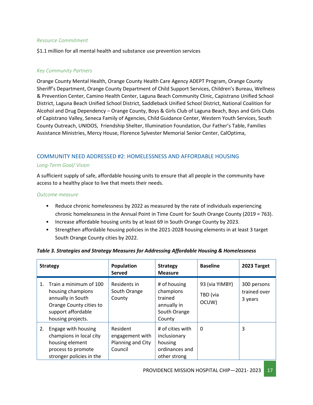#### *Resource Commitment*

\$1.1 million for all mental health and substance use prevention services

#### *Key Community Partners*

Orange County Mental Health, Orange County Health Care Agency ADEPT Program, Orange County Sheriff's Department, Orange County Department of Child Support Services, Children's Bureau, Wellness & Prevention Center, Camino Health Center, Laguna Beach Community Clinic, Capistrano Unified School District, Laguna Beach Unified School District, Saddleback Unified School District, National Coalition for Alcohol and Drug Dependency – Orange County, Boys & Girls Club of Laguna Beach, Boys and Girls Clubs of Capistrano Valley, Seneca Family of Agencies, Child Guidance Center, Western Youth Services, South County Outreach, UNIDOS, Friendship Shelter, Illumination Foundation, Our Father's Table, Families Assistance Ministries, Mercy House, Florence Sylvester Memorial Senior Center, CalOptima,

#### COMMUNITY NEED ADDRESSED #2: HOMELESSNESS AND AFFORDABLE HOUSING

#### *Long-Term Goal/ Vision*

A sufficient supply of safe, affordable housing units to ensure that all people in the community have access to a healthy place to live that meets their needs.

#### *Outcome measure*

- Reduce chronic homelessness by 2022 as measured by the rate of individuals experiencing chronic homelessness in the Annual Point in Time Count for South Orange County (2019 = 763).
- Increase affordable housing units by at least 69 in South Orange County by 2023.
- Strengthen affordable housing policies in the 2021-2028 housing elements in at least 3 target South Orange County cities by 2022.

|                | <b>Strategy</b>                                                                                                                        | Population<br><b>Served</b>                                 | <b>Strategy</b><br><b>Measure</b>                                             | <b>Baseline</b>                     | 2023 Target                            |
|----------------|----------------------------------------------------------------------------------------------------------------------------------------|-------------------------------------------------------------|-------------------------------------------------------------------------------|-------------------------------------|----------------------------------------|
| $\mathbf{1}$ . | Train a minimum of 100<br>housing champions<br>annually in South<br>Orange County cities to<br>support affordable<br>housing projects. | Residents in<br>South Orange<br>County                      | # of housing<br>champions<br>trained<br>annually in<br>South Orange<br>County | 93 (via YIMBY)<br>TBD (via<br>OCUW) | 300 persons<br>trained over<br>3 years |
| 2.             | Engage with housing<br>champions in local city<br>housing element<br>process to promote<br>stronger policies in the                    | Resident<br>engagement with<br>Planning and City<br>Council | # of cities with<br>inclusionary<br>housing<br>ordinances and<br>other strong | 0                                   | 3                                      |

#### *Table 3. Strategies and Strategy Measures for Addressing Affordable Housing & Homelessness*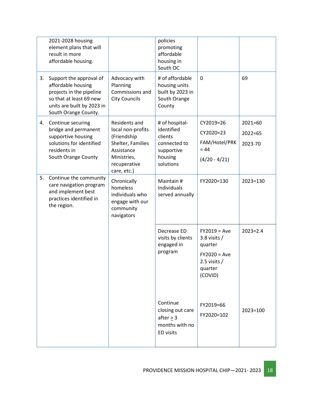|    | 2021-2028 housing<br>element plans that will<br>result in more<br>affordable housing.                                                                      |                                                                                                                                    | policies<br>promoting<br>affordable<br>housing in<br>South OC                                 |                                                                                                       |                                       |
|----|------------------------------------------------------------------------------------------------------------------------------------------------------------|------------------------------------------------------------------------------------------------------------------------------------|-----------------------------------------------------------------------------------------------|-------------------------------------------------------------------------------------------------------|---------------------------------------|
| 3. | Support the approval of<br>affordable housing<br>projects in the pipeline<br>so that at least 69 new<br>units are built by 2023 in<br>South Orange County. | Advocacy with<br>Planning<br>Commissions and<br><b>City Councils</b>                                                               | # of affordable<br>housing units<br>built by 2023 in<br>South Orange<br>County                | 0                                                                                                     | 69                                    |
| 4. | Continue securing<br>bridge and permanent<br>supportive housing<br>solutions for identified<br>residents in<br>South Orange County                         | Residents and<br>local non-profits<br>(Friendship<br>Shelter, Families<br>Assistance<br>Ministries,<br>recuperative<br>care, etc.) | # of hospital-<br>identified<br>clients<br>connected to<br>supportive<br>housing<br>solutions | CY2019=26<br>CY2020=23<br>FAM/Hotel/PRK<br>$= 44$<br>$(4/20 - 4/21)$                                  | $2021 = 60$<br>$2022 = 65$<br>2023-70 |
| 5. | Continue the community<br>care navigation program<br>and implement best<br>practices identified in<br>the region.                                          | Chronically<br>homeless<br>individuals who<br>engage with our<br>community<br>navigators                                           | Maintain #<br>Individuals<br>served annually                                                  | FY2020=130                                                                                            | 2023=130                              |
|    |                                                                                                                                                            |                                                                                                                                    | Decrease ED<br>visits by clients<br>engaged in<br>program                                     | $FY2019 = Ave$<br>3.8 visits $/$<br>quarter<br>$FY2020 = Ave$<br>2.5 visits $/$<br>quarter<br>(COVID) | $2023 = 2.4$                          |
|    |                                                                                                                                                            |                                                                                                                                    | Continue<br>closing out care<br>after > 3<br>months with no<br>ED visits                      | FY2019=66<br>FY2020=102                                                                               | 2023=100                              |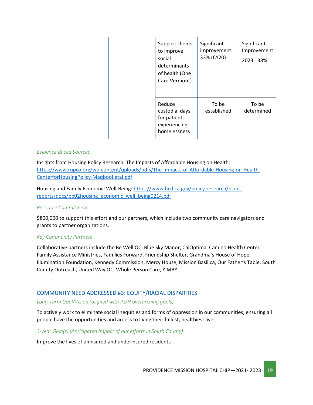| Support clients<br>to improve<br>social<br>determinants<br>of health (One<br>Care Vermont) | Significant<br>improvement =<br>33% (CY20) | Significant<br>Improvement<br>$2023 = 38%$ |  |
|--------------------------------------------------------------------------------------------|--------------------------------------------|--------------------------------------------|--|
| Reduce<br>custodial days<br>for patients<br>experiencing<br>homelessness                   | To be<br>established                       | To be<br>determined                        |  |

#### *Evidence Based Sources*

Insights from Housing Policy Research: The Impacts of Affordable Housing on Health: [https://www.rupco.org/wp-content/uploads/pdfs/The-Impacts-of-Affordable-Housing-on-Health-](https://www.rupco.org/wp-content/uploads/pdfs/The-Impacts-of-Affordable-Housing-on-Health-CenterforHousingPolicy-Maqbool.etal.pdf)[CenterforHousingPolicy-Maqbool.etal.pdf](https://www.rupco.org/wp-content/uploads/pdfs/The-Impacts-of-Affordable-Housing-on-Health-CenterforHousingPolicy-Maqbool.etal.pdf)

Housing and Family Economic Well-Being[: https://www.hcd.ca.gov/policy-research/plans](https://www.hcd.ca.gov/policy-research/plans-reports/docs/pb02housing_economic_well_being0214.pdf)[reports/docs/pb02housing\\_economic\\_well\\_being0214.pdf](https://www.hcd.ca.gov/policy-research/plans-reports/docs/pb02housing_economic_well_being0214.pdf)

#### *Resource Commitment*

\$800,000 to support this effort and our partners, which include two community care navigators and grants to partner organizations.

#### *Key Community Partners*

Collaborative partners include the Be Well OC, Blue Sky Manor, CalOptima, Camino Health Center, Family Assistance Ministries, Families Forward, Friendship Shelter, Grandma's House of Hope, Illumination Foundation, Kennedy Commission, Mercy House, Mission Basilica, Our Father's Table, South County Outreach, United Way OC, Whole Person Care, YIMBY

#### COMMUNITY NEED ADDRESSED #3: EQUITY/RACIAL DISPARITIES

#### *Long-Term Goal/Vision (aligned with PSJH overarching goals)*

To actively work to eliminate social inequities and forms of oppression in our communities, ensuring all people have the opportunities and access to living their fullest, healthiest lives

#### *3-year Goal(s) (Anticipated Impact of our efforts in South County)*

Improve the lives of uninsured and underinsured residents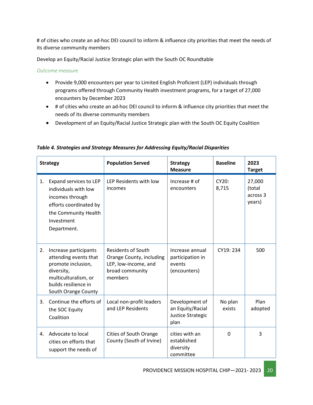# of cities who create an ad-hoc DEI council to inform & influence city priorities that meet the needs of its diverse community members

Develop an Equity/Racial Justice Strategic plan with the South OC Roundtable

*Outcome measure*

- Provide 9,000 encounters per year to Limited English Proficient (LEP) individuals through programs offered through Community Health investment programs, for a target of 27,000 encounters by December 2023
- # of cities who create an ad-hoc DEI council to inform & influence city priorities that meet the needs of its diverse community members
- Development of an Equity/Racial Justice Strategic plan with the South OC Equity Coalition

|    | <b>Strategy</b>                                                                                                                                           | <b>Population Served</b>                                                                                    | <b>Strategy</b><br><b>Measure</b>                               | <b>Baseline</b>   | 2023<br><b>Target</b>                  |
|----|-----------------------------------------------------------------------------------------------------------------------------------------------------------|-------------------------------------------------------------------------------------------------------------|-----------------------------------------------------------------|-------------------|----------------------------------------|
| 1. | Expand services to LEP<br>individuals with low<br>incomes through<br>efforts coordinated by<br>the Community Health<br>Investment<br>Department.          | LEP Residents with low<br>incomes                                                                           | Increase # of<br>encounters                                     | CY20:<br>8,715    | 27,000<br>(total<br>across 3<br>years) |
| 2. | Increase participants<br>attending events that<br>promote inclusion,<br>diversity,<br>multiculturalism, or<br>builds resilience in<br>South Orange County | <b>Residents of South</b><br>Orange County, including<br>LEP, low-income, and<br>broad community<br>members | Increase annual<br>participation in<br>events<br>(encounters)   | CY19: 234         | 500                                    |
| 3. | Continue the efforts of<br>the SOC Equity<br>Coalition                                                                                                    | Local non-profit leaders<br>and LEP Residents                                                               | Development of<br>an Equity/Racial<br>Justice Strategic<br>plan | No plan<br>exists | Plan<br>adopted                        |
| 4. | Advocate to local<br>cities on efforts that<br>support the needs of                                                                                       | <b>Cities of South Orange</b><br>County (South of Irvine)                                                   | cities with an<br>established<br>diversity<br>committee         | $\mathbf 0$       | 3                                      |

*Table 4. Strategies and Strategy Measures for Addressing Equity/Racial Disparities*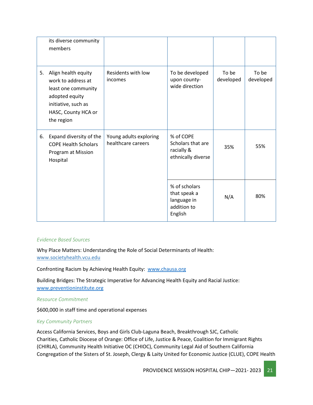|    | its diverse community<br>members                                                                                                               |                                              |                                                                        |                    |                    |
|----|------------------------------------------------------------------------------------------------------------------------------------------------|----------------------------------------------|------------------------------------------------------------------------|--------------------|--------------------|
| 5. | Align health equity<br>work to address at<br>least one community<br>adopted equity<br>initiative, such as<br>HASC, County HCA or<br>the region | Residents with low<br>incomes                | To be developed<br>upon county-<br>wide direction                      | To be<br>developed | To be<br>developed |
| 6. | Expand diversity of the<br><b>COPE Health Scholars</b><br>Program at Mission<br>Hospital                                                       | Young adults exploring<br>healthcare careers | % of COPE<br>Scholars that are<br>racially &<br>ethnically diverse     | 35%                | 55%                |
|    |                                                                                                                                                |                                              | % of scholars<br>that speak a<br>language in<br>addition to<br>English | N/A                | 80%                |

#### *Evidence Based Sources*

Why Place Matters: Understanding the Role of Social Determinants of Health: [www.societyhealth.vcu.edu](http://www.societyhealth.vcu.edu/)

Confronting Racism by Achieving Health Equity: [www.chausa.org](http://www.chausa.org/)

Building Bridges: The Strategic Imperative for Advancing Health Equity and Racial Justice: [www.preventioninstitute.org](http://www.preventioninstitute.org/)

#### *Resource Commitment*

\$600,000 in staff time and operational expenses

#### *Key Community Partners*

Access California Services, Boys and Girls Club-Laguna Beach, Breakthrough SJC, Catholic Charities, Catholic Diocese of Orange: Office of Life, Justice & Peace, Coalition for Immigrant Rights (CHIRLA), Community Health Initiative OC (CHIOC), Community Legal Aid of Southern California Congregation of the Sisters of St. Joseph, Clergy & Laity United for Economic Justice (CLUE), COPE Health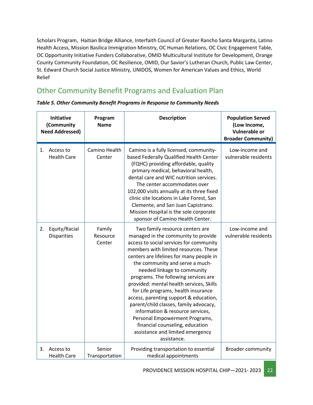Scholars Program, Haitian Bridge Alliance, Interfaith Council of Greater Rancho Santa Margarita, Latino Health Access, Mission Basilica Immigration Ministry, OC Human Relations, OC Civic Engagement Table, OC Opportunity Initiative Funders Collaborative, OMID Multicultural Institute for Development, Orange County Community Foundation, OC Resilience, OMID, Our Savior's Lutheran Church, Public Law Center, St. Edward Church Social Justice Ministry, UNIDOS, Women for American Values and Ethics, World Relief

# <span id="page-21-0"></span>Other Community Benefit Programs and Evaluation Plan

| <b>Initiative</b><br>(Community<br><b>Need Addressed)</b> |                                     | Program<br><b>Name</b>       | <b>Description</b>                                                                                                                                                                                                                                                                                                                                                                                                                                                                                                                                                                                                                                  | <b>Population Served</b><br>(Low Income,<br><b>Vulnerable or</b><br><b>Broader Community)</b> |
|-----------------------------------------------------------|-------------------------------------|------------------------------|-----------------------------------------------------------------------------------------------------------------------------------------------------------------------------------------------------------------------------------------------------------------------------------------------------------------------------------------------------------------------------------------------------------------------------------------------------------------------------------------------------------------------------------------------------------------------------------------------------------------------------------------------------|-----------------------------------------------------------------------------------------------|
|                                                           | 1. Access to<br><b>Health Care</b>  | Camino Health<br>Center      | Camino is a fully licensed, community-<br>based Federally Qualified Health Center<br>(FQHC) providing affordable, quality<br>primary medical, behavioral health,<br>dental care and WIC nutrition services.<br>The center accommodates over<br>102,000 visits annually at its three fixed<br>clinic site locations in Lake Forest, San<br>Clemente, and San Juan Capistrano.<br>Mission Hospital is the sole corporate<br>sponsor of Camino Health Center.                                                                                                                                                                                          | Low-income and<br>vulnerable residents                                                        |
| 2.                                                        | Equity/Racial<br><b>Disparities</b> | Family<br>Resource<br>Center | Two family resource centers are<br>managed in the community to provide<br>access to social services for community<br>members with limited resources. These<br>centers are lifelines for many people in<br>the community and serve a much-<br>needed linkage to community<br>programs. The following services are<br>provided: mental health services, Skills<br>for Life programs, health insurance<br>access, parenting support & education,<br>parent/child classes, family advocacy,<br>information & resource services,<br>Personal Empowerment Programs,<br>financial counseling, education<br>assistance and limited emergency<br>assistance. | Low-income and<br>vulnerable residents                                                        |
| 3.                                                        | Access to<br><b>Health Care</b>     | Senior<br>Transportation     | Providing transportation to essential<br>medical appointments                                                                                                                                                                                                                                                                                                                                                                                                                                                                                                                                                                                       | <b>Broader community</b>                                                                      |

|  |  | Table 5. Other Community Benefit Programs in Response to Community Needs |  |
|--|--|--------------------------------------------------------------------------|--|
|--|--|--------------------------------------------------------------------------|--|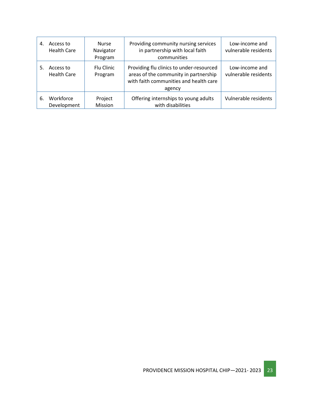| 4. | Access to<br><b>Health Care</b> | <b>Nurse</b><br>Navigator<br>Program | Providing community nursing services<br>in partnership with local faith<br>communities                                                | Low-income and<br>vulnerable residents |
|----|---------------------------------|--------------------------------------|---------------------------------------------------------------------------------------------------------------------------------------|----------------------------------------|
| 5. | Access to<br><b>Health Care</b> | Flu Clinic<br>Program                | Providing flu clinics to under-resourced<br>areas of the community in partnership<br>with faith communities and health care<br>agency | Low-income and<br>vulnerable residents |
| 6. | Workforce<br>Development        | Project<br>Mission                   | Offering internships to young adults<br>with disabilities                                                                             | Vulnerable residents                   |